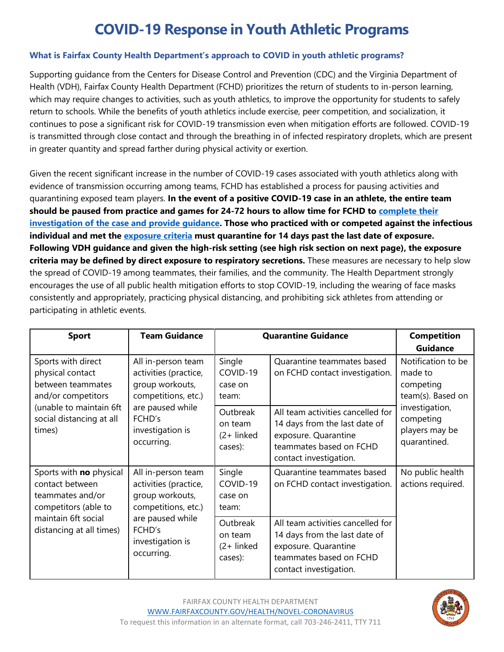# **COVID-19 Response in Youth Athletic Programs**

## **What is Fairfax County Health Department's approach to COVID in youth athletic programs?**

Supporting guidance from the Centers for Disease Control and Prevention (CDC) and the Virginia Department of Health (VDH), Fairfax County Health Department (FCHD) prioritizes the return of students to in-person learning, which may require changes to activities, such as youth athletics, to improve the opportunity for students to safely return to schools. While the benefits of youth athletics include exercise, peer competition, and socialization, it continues to pose a significant risk for COVID-19 transmission even when mitigation efforts are followed. COVID-19 is transmitted through close contact and through the breathing in of infected respiratory droplets, which are present in greater quantity and spread farther during physical activity or exertion.

Given the recent significant increase in the number of COVID-19 cases associated with youth athletics along with evidence of transmission occurring among teams, FCHD has established a process for pausing activities and quarantining exposed team players. **In the event of a positive COVID-19 case in an athlete, the entire team should be paused from practice and games for 24-72 hours to allow time for FCHD to [complete their](https://www.fairfaxcounty.gov/health/novel-coronavirus/contact-investigations)  [investigation of the case and provide guidance.](https://www.fairfaxcounty.gov/health/novel-coronavirus/contact-investigations) Those who practiced with or competed against the infectious individual and met the [exposure criteria](https://www.fairfaxcounty.gov/health/novel-coronavirus/isolate-quarantine) must quarantine for 14 days past the last date of exposure. Following VDH guidance and given the high-risk setting (see high risk section on next page), the exposure criteria may be defined by direct exposure to respiratory secretions.** These measures are necessary to help slow the spread of COVID-19 among teammates, their families, and the community. The Health Department strongly encourages the use of all public health mitigation efforts to stop COVID-19, including the wearing of face masks consistently and appropriately, practicing physical distancing, and prohibiting sick athletes from attending or participating in athletic events.

| <b>Sport</b>                                                                                                                                       | <b>Team Guidance</b>                                                                                                                                  | <b>Quarantine Guidance</b>                      |                                                                                                                                                 | <b>Competition</b><br><b>Guidance</b>                                                                                            |
|----------------------------------------------------------------------------------------------------------------------------------------------------|-------------------------------------------------------------------------------------------------------------------------------------------------------|-------------------------------------------------|-------------------------------------------------------------------------------------------------------------------------------------------------|----------------------------------------------------------------------------------------------------------------------------------|
| Sports with direct<br>physical contact<br>between teammates<br>and/or competitors<br>(unable to maintain 6ft<br>social distancing at all<br>times) | All in-person team<br>activities (practice,<br>group workouts,<br>competitions, etc.)<br>are paused while<br>FCHD's<br>investigation is<br>occurring. | Single<br>COVID-19<br>case on<br>team:          | Quarantine teammates based<br>on FCHD contact investigation.                                                                                    | Notification to be<br>made to<br>competing<br>team(s). Based on<br>investigation,<br>competing<br>players may be<br>quarantined. |
|                                                                                                                                                    |                                                                                                                                                       | Outbreak<br>on team<br>$(2 +$ linked<br>cases): | All team activities cancelled for<br>14 days from the last date of<br>exposure. Quarantine<br>teammates based on FCHD<br>contact investigation. |                                                                                                                                  |
| Sports with no physical<br>contact between<br>teammates and/or<br>competitors (able to<br>maintain 6ft social<br>distancing at all times)          | All in-person team<br>activities (practice,<br>group workouts,<br>competitions, etc.)<br>are paused while<br>FCHD's<br>investigation is<br>occurring. | Single<br>COVID-19<br>case on<br>team:          | Quarantine teammates based<br>on FCHD contact investigation.                                                                                    | No public health<br>actions required.                                                                                            |
|                                                                                                                                                    |                                                                                                                                                       | Outbreak<br>on team<br>$(2 +$ linked<br>cases): | All team activities cancelled for<br>14 days from the last date of<br>exposure. Quarantine<br>teammates based on FCHD<br>contact investigation. |                                                                                                                                  |